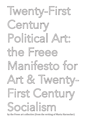

by the Freee art collective (from the writing of Marta Harnecker)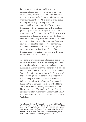Freee produce manifestos and instigate group readings of manifestos for the action of agreeing or disagreeing. Participants are requested to read the given text and make their own minds up about what they subscribe to. When present at the group reading, the participants only read out the words of the manifesto they agree with. The reading then becomes a collective process in which individuals publicly agree as well as disagree and declare their commitment to Freee's manifesto. While the use of a specific text by Freee is a given the text itself can be used and reworked by those who read it to formulate their own opinions just in the same way Freee has reworked it from the original. Freee acknowledge that ideas are developed collectively through the exchange of opinion. In this way Freee offer a text that they produced but one that becomes the basis for the action of critical thinking.

The content of Freee's manifestos are an explicit call for the transformation of art and society and Freee readily take and use existing historical manifestos, speeches and revolutionary documents, such as, The Manifesto for a New Public (2012) based on Vladimir Tatlin's The Initiative Individual in the Creativity of the Collective (1919) and the UNOVIS, Program for the Academy at Vitebsk (1920), and the Freee Art Collective Manifesto for a Counter-Hegemonic Art based on the Communist Manifesto by Karl Marx and Friedrich Engels (1848). Freee here use the Marta Harnecker's Twenty First Century Socialism as inspiration for Twenty-First Century Political Art: the Freee Manifesto for Art & Twenty-First Century Socialism.

1st edition of the manifesto published January 2014 by the Freee art collective for the exhibition *Critical Machines,* at AUB Byblos Bank Art Gallery, American University of Beirut (Lebanon) Art Galleries. First published in *Manifesto Now! Instructions for Performance, Philosophy, Politics* edited by Laura Cull & Will Daddario, published by Intellect, 2013.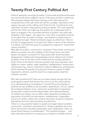# Twenty-First Century Political Art

Political radicalism amongst Socialists, Communists and Revolutionaries has customarily been judged in terms of the pace at which it advances. Slow progress always seemed to belong to the reformists at the moderate end of the Left, while the call for a sudden, fatal blow to the system was seen as the calling card of the far Left. In political art, too, radicalism has been measured according to speed. The more explicitly political the artist, we might say, the quicker art is dispensed with in order to engage in the committed territory of politics. Any artist who dawdled in this regard - who gave too much time to questions internal to art rather than to politics at large - was looked on suspiciously as not political enough. Marta Harnecker argues, by distinction, that we should not judge politics on its pace but rather in terms of the direction it is taking. This shift from pace to programme is typical of "twenty-first century socialism."

Why talk of socialism, communism, revolution? Have these not become defunct concepts since the collapse of the Soviet Union and other Eastern European countries? For many years after Soviet socialism disappeared, intellectuals and progressive forces talked more of what socialism must not be than of the model that we actually wanted to build. Some of the facets of Soviet socialism that were rejected—and rightly so—were: statism, state capitalism, totalitarianism, bureaucratic central planning, uniform collectivism without differences, productivism (which stresses the growth of productive forces as a good in itself), dogmatism, atheism, and the need for a single party to lead the transition process.

Why talk of political art? Have we not heard clearly enough that the avant-garde is dead, that history has come to an end, that political art is self-defeating (a contradiction in terms)? Since the heyday of political art was snuffed out by formalism, aestheticism, the art market, the professionalization of art, critical art's accelerated incorporation by big state museums and funding bodies, the institutionalization of institutional critique, and a million other obstacles (including the association of political art with statism, totalitarianism, dogmatism and so on), artists, writers and curators have been at pains to distance themselves from the naïve practices of political art.

There is a very powerful reason to speak once again about socialism, communism, revolution and political art. Simply, capitalism since the fall of communism has piled catastrophe upon catastrophe. Here, we quote David Harvey on neoliberalism: 'The neoliberal project … has been directed toward the increasing accumulation of wealth and the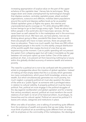increasing appropriation of surplus-value on the part of the upper echelons of the capitalist class'. Harvey lists its techniques: 'Bring wages down and create unemployment by technological changes that displace workers, centralize capitalist power, attack workers' organizations, outsource and offshore, mobilize latent populations around the world and depress welfare levels as far as possible'. Global capitalism gives us flights into space, the internet and unprecedented sports coverage on TV, while allowing 800 million human beings to go to bed hungry every night. There are about two billion people in the world who don't have basic services. Art has never been so well catered for in the marketplace and in the enormous global biennial circuit. We have cars, we have planes, now we are thinking about going to Mars, wonderful! But down here on earth there are people who have no basic services, there are people who have no education. There is so much wealth, but there are 200 million unemployed people in the world. It is this starkly unequal distribution of the world's wealth that creates the kind of crisis that we are experiencing at the moment. Cuts to public spending will not prevent the system from collapsing again but will make it inevitable as the gap between rich and poor opens up even further. One of the tasks of political art, then, is to prevent art from becoming nothing but a luxury within this globally divided economy of extreme wealth and extreme poverty.

The need for a political art is not to be confused with the potential for artists to propagandize about the injustice of global capitalism. Instead of making art that simply states that this is a society which generates too many contradictions, which pours forth knowledge, science, and wealth, but which simultaneously generates too much poverty, too much neglect, a properly political art must also question the status of the artist as a 'public figure' as someone with a privileged status in relation to cultural visibility. A properly political art must be twice political: first, political art must engage in the political struggles of the day (against neoliberalism and global capitalism and for a twenty first century socialism); second, political art must transform the social relations of art itself, to rid art of its historical elitism, its privileges, its hierarchies and its cultural capital. Political art cannot be political if it leaves art's values, categories and institutions in place.

When one talks of socialism, one is talking of something quite different from the extremes of wealth and poverty that we see today. And we must think of political art as something quite different from art today, with its emphasis on the commodity of the marketplace, the ideological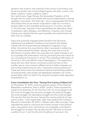symbol in the museum, the authority of the canons of art history, and the all too familiar cast of its privileged figures, the artist, curator, critic, dealer, collector, viewer, audience, public.

As is well known, Hugo Chávez, the Venezuelan President, at first thought that he could move ahead with social transformations, leaving capitalism untouched: "the third way". Art is overpopulated with those who believe that art can remain untouched in order for it to have a positive effect on the miserable world around it. For them, art itself is "the third way" because it lives and breathes the alternative values of aesthetics, open dialogue, and difference. However, even though Chávez soon realized that this wasn't possible, the artworld does not learn from its mistakes.

Every time politically engaged artists transform the discursive, institutional and aesthetic conditions of art practice the dealers collude with the bureaucrats and aesthetes to organize a coup d'état. Sometimes the coup fails but often it succeeds in redirecting art's activities towards formalism, beauty, the visual and uncritical affirmations of quality. When the coup fails, the vested interests in art try to paralyze the politicisation of art by promoting the new critical art as a conventional movement or school. The institutional affirmation of critical art is the most efficient way of sabotaging it. This experience, along with two other factors, convinced us that we have to find another way to move toward a different kind of relation between art and society, toward what we call a "twenty-first century political art." These two factors were the realization that the heartrending problems of world poverty, class society and globalized capitalism can not be solved either within art itself or by using the bourgeois state apparatus bequeathed to us.

## Freee Consolidates the Term "Twenty-First Century Political Art"

On November 10, 2010, at the first plenary session of the Historical Materialism conference, held in SOAS, London, Freee surprised the audience by declaring, for the first time, that 'art must engage on all five fronts of struggle: the economic struggle, the political struggle, the social struggle, the ideological struggle and the armed struggle'. This was the first time the term 'twenty-first century political art' was used in public. A few weeks later, when they spoke at the Liverpool Biennial on November 28, 2010, in Alfredo Jaar's 'Marx Lounge', Freee reiterated the need to overcome the limited concept of the political with a new politics of art, and build an art completely committed to the struggle for socialism. But we also warned: 'We have to reinvent a politics for art. It can't be the kind of political art we saw in the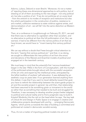Adorno, Lukacs, Debord or even Brecht.' Moreover, it's not a matter of 'rejecting these one-dimensional approaches to art's politics, but of drawing on all of them according to the new slogan - not only political art, but also a politics of art.' If we do not politicise art on every level - from the artwork to its modes of reception and institutions but also the artist's participation in the construction of publics, resistance to art's market, collective resistance to state violence against artists, and democratisation of art - we will fall 'into the same distortion as Western Marxism did.'

Then, at a conference in Loughborough on February 25, 2011, we said that there was no alternative to capitalism other than socialism, and no alternative to political art than the full politicization of art. But, we warned, it had to be different from the narrow politics of art that we have known; we would have to "invent twenty-first century political art."

We can say without a doubt that Freee brought critical attention to the term "twenty-first century political art," and that, in so doing, we sought to differentiate the new politics of art from the errors and deviations of the Marxist and Anarchist models of political and engaged art in the twentieth century.

We must keep in mind that the artworld's first 'nervous breakdown' began in the late 1960s in the form of Conceptualism, with the triumph of the politicized artists brought about with the successful usurpation of the art critic and expert by the intellectual artist, anticipated by the leftist tradition of workers' self-education. It was defeated by an aesthetic coup six years later. If our generation learned anything from this defeat, it was that if you want to travel defiantly toward that goal, you have to rethink the relationship between the avant-garde project in art and the socialist project in general. Up until then, that relationship had been assumed to be something given or immanent to the world as rather than as something that needed to be built and struggled for. Therefore, it was necessary to develop another project better adapted to political and cultural reality and to find a pragmatic way to build it. Krzyztof Wodzicko hits the nail on the head when he says, 'the key task of critical Art and Design in Public Space is to engage in creative and collaborative projects developed with and by … emerging Democratic Agents,' which points us towards the idea of building a committed and politicized art rooted in democratic socialist society.

Thus, it's not a matter of importing political models into art or of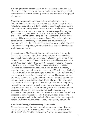exporting aesthetic strategies into politics (a la Michel de Certeau); it's about building a model of cultural, social, economic and political commons in which each sphere guarantees the democratic integrity of all spheres.

Naturally, the separate spheres will share some features. These features include three basic components that Chávez has pointed to in his formulation of Twenty-First Socialism: economic transformation; participative and protagonistic democracy; and socialist ethics. These socialist ideas and values are very old, Harnecker says. They can be found, according to Chávez, in biblical texts, in the Gospel, and in the practices of indigenous peoples. We say that the future socialist society will have to update the values of what Marx called 'primitive communism', so that every aspect of life is revolutionized and democratized, resulting in the most democratic, cooperative, agonistic, communicative, responsive, communal and self-organized society the world has ever known.

Like José Carlos Mariátegui before him, Chávez thinks that twentyfirst century socialism cannot be a carbon copy of any antecedent society, culture, nostalgic Golden Age or Utopian vision; rather, it has to be a "heroic creation." Twenty First Century Art likewise, cannot be simply Courbet + Tatlin + Eisenstein + Heartfield + Brecht + Godard + Art&Language + Rosler. Chávez talks of a Bolivarian, Christian, Robinsonian, Indoamerican socialism: a new collective existence, equality, liberty, and real, complete democracy. We talk of a politicized, intellectual, active, public, interrogative, collective, self-organized art, and a complete break from the capitalist commodification of art, the modernist isolation of art, the governmental instrumentalization of art, the bureaucratic recuperation of art, the scholarly academicization of art, and so on. Chávez agrees with Mariátegui that one of the primary roots of the new socialist project can be found in the socialism of indigenous peoples, and he therefore suggests that those indigenous practices, imbued with a socialist spirit, must be rescued and empowered. We agree: and we must rescue and empower the ordinary practices of self-organization, self-education, debate, protest and campaigning that will be the bedrock of the twenty-first century public sphere. This is the oxygen of our Twenty-First Century Political Art.

## A Socialist Society, Fundamentally Democratic

Chávez has stressed the fundamentally democratic nature of twentyfirst century socialism. He warns that "we must not slip into errors of the past," into "the Stalinist deviation", which bureaucratized the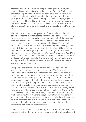party and ended up eliminating people's protagonism. In art, the error equivalent to the Stalinist deviation is not Socialist Realism, but Formalism. A politics of art boiled down to an immanent politics of artistic form gives the false impression that 'holding the right line' (being true) is everything, while 'making a difference' (engaging in the contingencies of history) is nothing. We want to reverse the polarity of this modernist creed. Democracy, with all its noise, false-starts, tradeoffs and frustrations, is nevertheless always preferable to the Mandarin's truth.

The practical and negative experience of real socialism in the political sphere cannot make us forget that, according to classic Marxist tenets, post-capitalist society always has been associated with full democracy. Marx and some of his followers called it communism, others have called it socialism, and Harnecker agrees with García Linera that it doesn't really matter what term we use. What matters, they say, is the content. This is true, and yet, words matter, too. We will fight for the democratization of everything, but we will also fight for the words 'democracy', 'socialism', 'communism', 'Marxism', 'political art' and 'the public sphere'. If we allow our enemies to win the symbolic battle while we focus on the 'real' battle for the transformation of art, culture and society we will find that we have no content left because we have lost the language for thinking it.

Few people are familiar with a brief text about the state by Lenin, which is contained in a notebook and predates The State and Revolution. In it, he says that socialism must be conceived of as the most democratic society, in contrast to bourgeois society, where there is democracy for a minority only. Comparing socialism to capitalism, Lenin observes that, in the latter, there is democracy for the rich only and for a small layer of the proletariat, whereas in the transition to socialism, there is almost full democracy. Democracy, at this stage, is not yet complete because of the unignorable will of the majority, which must be imposed on those who do not wish to submit to the majority will. However, once communist society is reached, democracy will be finally complete. We just want to add, here, that twenty-first century socialism cannot be democratic only in the political sphere. Everything must be democratized. We must also build a democratic economy, a democratic society, a democratic sphere of material production, a democratic culture and a democratic art.

Lenin's view was inspired by the writings of Marx and Engels, who said that the society of the future would make possible the full development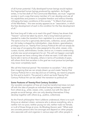of all human potential. Fully developed human beings would replace the fragmented human beings produced by capitalism. As Engels writes, in his first draft of The Communist Manifesto, we must "organize" society in such a way that every member of it can develop and use all his capabilities and powers in complete freedom and without thereby infringing the basic conditions of this society." "In Marx's final version of the Manifesto," this new society appears as an "association, in which the free development of each is the condition for the free development of all  $"$ 

But how long will it take us to reach this goal? History has shown that "heaven" cannot be taken by storm, that a long historical period is needed to make the transition from capitalism to a socialist society. The same is true for a genuinely democratic, collective, social, political art. Art today is shaped by individualism, class division, specialization, privilege and so on. Twenty-First Century Political Art will not simply be a new way of occupying the roles assigned to the artist, viewer, critic, curator, tourist, administrator, funder, and so on; it means constructing a whole new social arrangement for art. This will not happen overnight just because we have a strong idea of what we want. It will take time. Some talk in terms of decades, others in terms of hundreds of years, still others think that socialism is the goal we must pursue but perhaps may never completely reach.

We call this historical period "the transition to socialism." And, rather than imagining that we can simply dream up and create Twenty-First Century Political Art in one day and out of nothing, we need to prepare for this and to build it. The period in which we build Twenty-First Century Political Art can be called 'the transition to political art'.

#### Some Features of Twenty-First Century Socialism

Our socialist conception of how art must be transformed does not start off with the idea of people as individual beings isolated, separated from others (e.g., artist, viewer, critic, curator), but with the idea of people as social beings, who can only develop themselves if they develop together with others (e.g., publics, collectives).

As the French philosopher Henri Lefebvre understood, there is no such thing as an abstract citizen, someone who is above everything, who is neither rich nor poor, neither young nor old, neither male nor female, or is all of those things at once. As Miodrag Zecevic said: "What exist are concrete persons who live amongst and depend on other people, who associate with and organize in various ways with other people in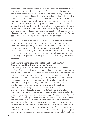communities and organizations in which and through which they make real their interests, rights, and duties." But we need to be careful here not to think of the real social individual in an abstract way. When we emphasize the materiality of the social individual against its ideological abstraction – the individual as such – we need also to recognize the material effects of ideology, frameworks, structures and traditions. This means that the roles that are assigned to individuals – such as husband, wife and neighbour, child, mother and father, teacher, pupil and truant, policeman, criminal and vigilante, artist, viewer and philistine – are real, and have material effects. Therefore, we must abolish these old roles, play with them and subvert them, as well as establish new roles for the social individual to occupy in specific, material practices.

The goal of twenty-first century socialism is full human development. It cannot, therefore, come into being because a government or an enlightened vanguard says so; it cannot be decreed from above; it is a process that is built with the people, in which, as they transform their circumstances, they transform themselves and the roles that they can occupy. It is not a handout; it is something to be conquered and something to be produced actively and collectively through innovative practices.

#### Participative Democracy and Protagonistic Participation: Democracy and Participation by the People

We have spoken of full human development, but how can that be achieved? Michael Lebowitz says that "only a revolutionary democracy can create the conditions in which we can invent ourselves daily as rich human beings." He refers to a "concept...of democracy in practice, democracy as practice, democracy as protagonism." "Democracy in this sense—protagonistic democracy in the workplace, protagonistic democracy in neighborhoods, communities, communes—is the democracy of people who are transforming themselves into revolutionary subjects." Art needs a cast of protagonistic, transformative and revolutionary subjects too! This is why talk of participation is so insipid. Does participation shake the artworld to the ground with popular democratic force? No, participation is a reformer's fantasy of philanthropic managerialism, bureaucratic problem-solving and preventative reconciliation. All they produce is soup kitchens! We can see the limits of participatory art very clearly by looking at the limits of paternalistic bourgeois democracy. This is why it is not only a matter of giving democracy a social content—as Alfredo Maneiro, a Venezuelan intellectual and political leader, said of solving the people's social problems (access to food, health care, education, etc.)—but also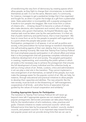of transforming the very form of democracy by creating spaces which allow people, as they fight to change their circumstances, to transform themselves as well. It is not the same, Maneiro said, if a community, for instance, manages to get a pedestrian bridge that it has organized and fought for, as when it is given the bridge as a gift from a paternalist state. State paternalism is incompatible with a popular protagonism. It tends to turn people into beggars. We must move from a culture of citizens who … [missing clause?] to become a culture of citizens who make decisions; who implement and control; who manage things themselves; who govern themselves. As Krzyztof Wodzicko says, 'the creative task must be taken over by the user-performers. It is their art, that of public testimony and performance, that is most important'. We have to move from an art for the people to people's self-organized art, to a point where the people take power over art.

Participation, protagonism in all spaces, in art as well as politics and society, is the precondition for human beings to transform themselves into self-activating agents of their own destiny, that is to say, for human beings to develop humanly. We insist that Twenty-First Century Political Art must emphasize popular participation in all cultural affairs and stress that it is this protagonism that will guarantee complete individual and collective development of art and society. The people's participation in creating, implementing, and controlling the public sphere in which art exists is the necessary way to achieve the protagonism that ensures the full development of every individual and the collective body, as well as a living culture of art. Artists, curators, critics and administrators in art can play a vital role in the transition. They cannot implement a new arrangement of art themselves, on behalf of the people, but must make the passage easier for the popular control of art. We can help, for instance, through educational and practical initiatives to allow people to develop their capacities and abilities. The new artworld, like the new society, must be built on the blossoming of "self-management, cooperatives of all kinds…and other forms of association that are guided by the values of mutual cooperation and solidarity."

#### Creating Appropriate Spaces for Participation

The transition to Twenty-First Century Political Art will never go beyond mere talk if appropriate spaces are not created where popular protagonistic democratic processes can take place freely and fully for the transformation of art's institutions, roles, practices and goals. Chávez's initiative to create communal councils—which was followed some time later by his proposal for workers' councils, student councils, and peasant councils—is an important step toward forming real popular power and can provide strong hints that we can use to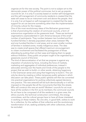organize art for the new society. The point is not to subject art to the democratic power of the political communes, but to set up popular councils for art. It is only if a society based on worker self-management and the self-management of community residents is created that the state will cease to be an instrument over and above the people. And it is only if an art based on self-management is created that the state support for art can become something other than the implementation of minority culture for the masses.

or internet and facilitated the protagonism of those<br>putting them at their ease and helping them to speak<br>tion. Every public art project ought to be organized by a<br>ancil of this kind.<br>emocratization of art that we propose One of the most revolutionary ideas of the Bolivarian government is that of promoting the creation of communal councils, a form of autonomous organization at the grassroots level. These are territorial organizations unprecedented in Latin America because of the small number of participants. They number between two hundred and four hundred families in densely populated urban areas; between fifty and one hundred families in rural areas; and an even smaller number of families in isolated zones, mostly indigenous areas. The idea was to create small spaces that offered maximum encouragement to citizen involvement and facilitated the protagonism of those attending by putting them at their ease and helping them to speak without inhibition. Every public art project ought to be organized by a grassroots council of this kind.

The kind of democratization of art that we propose is against any imposition of solutions by force, including the force of markets, marketing and aggregates of individual preferences; instead it advocates winning over the hearts and minds of the people to the project that we wish to build—in other words, obtaining hegemony in the Gramscian sense and using that hegemony to build it. This can only be done by creating a million temporary public spheres in which discussion can take place. These public spheres will then be converted into practical organizations for putting collectively agreed decisions into practice. The new artworld will be built democratically or it will be imposed on the people like all the monuments that litter the streets. Who will construct the new art world? Workers' councils for art must have all the workers in the firm as its members; the communal councils for art have to be composed of all the residents in a given area; the ethics councils, the technical construction committees, the energy committees, and the cultural groups have to have all those interested in working on these matters. No one who, in good faith, wishes to work for a collective, for the welfare of that collective and the revolutionary transformation of art, seeking solidarity with other collectives, should be excluded.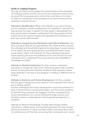### Guide to Judging Progress

Thus far, we have tried to analyze the characteristics of the processes of building socialism and the new art for the twenty-first century. Now, we would like to propose some criteria that could allow us to make an objective assessment of the progress of our governments and art institutions towards this aim.

Attitude to Neoliberalism: What is the attitude of our governments and art institutions toward neoliberalism and capitalism in general? Do they lay bare the logic of capital? Do they attack it ideologically? Do they use the state to weaken neoliberalism? Do they protect art from market forces and prevent capital and capitalists from bending art to their own narrow self-interests?

*Attitude to Unequal Income Distribution and Cultural Distinction:* Are they moving to diminish the gap between the richest and the poorest, the cultivated and the philistine (giving the advantage in every instance to the latter)? Are they giving the poor and philistine better access to education, health, and housing? Do they understand education not as teaching the poor and philistines to be more like the rich and cultivated, but to understand how social divisions are embedded in knowledge and taste?

*Attitude to Inherited Institutions:* Do they convene constituent processes to change the rules of the institutional game both in politics and art, knowing that the inherited neoliberal state apparatus places huge obstacles in the way of any progress in building a different kind of society?

*Attitude to Economic and Human Development:* Do they consider that the goal of satisfying human needs is more important than that of accumulating capital?

Do they understand that human development cannot be achieved in a state or artworld that is merely paternalistic, one that solves problems by transforming its people into beggars? Do they understand that human development can only be achieved through practice and, therefore, strive to create spaces in which popular protagonism is possible?

*Attitude to National Sovereignty:* Do they reject foreign military intervention, military bases, and humiliating treaties? Do they combat the Americanization of culture and New York's commercial domination of contemporary art? Are they recovering their sovereignty over natural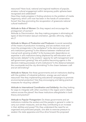resources? Have local, national and regional traditions of popular, amateur cultural engagement within temporary public spheres been recognized and celebrated?

Have they made progress in finding solutions to the problem of media hegemony, which until now has been in the hands of conservative forces? Are they promoting the recuperation of grassroots national cultural traditions?

*Attitude to Role of Women:* Do they respect and encourage the protagonism of women?

Attitude to Discrimination: Are they making progress in eliminating all types of discrimination (sexual orientation, gender, ethnicity, religion,  $\rho$ tc.)?

*Attitude to Means of Production and Producers:* Is social ownership of the means of production increasing, and are workers more and more the protagonists in the workplace? Is the democratization of art's institutions growing? Is the distance between intellectual and manual work growing smaller? Is the bureaucratic dependence on expertise in art's institutions being displaced by self-education and democratic debate? Is the workers' capacity for self-management and self-government growing? Are art's publics becoming agents in the decision-making processes of art's institutions? Is the distance between the countryside and the city diminishing? Is the chasm between craft and art diminishing?

*Attitude to Nature:* Are these governments and art institutions dealing with the problem of industrial pollution, energy use and natural resources? Are they implementing educational campaigns to promote environmental protection? Are they encouraging and taking practical measures for recycling rubbish?

*Attitude to International Coordination and Solidarity:* Are they looking for ways to integrate with other countries in the region and in distant nations across the planet? Are these institutions alterglobalist in both theory and practice?

*Attitude to Popular Protagonism:* Do these governments and art institutions mobilize the workers and the people in general in order to carry out certain measures, and are they contributing to an increase in their abilities and power? Do they understand the need for an organized and politicized people, one able to exercise pressure to weaken the state apparatus and thus drive forward the proposed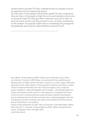transformation process? Do they understand that our people must be protagonists and not supporting actors?

Do they listen to the people and let them speak? Do they understand they can rely on the people to fight the errors and deviations that come up along the way? Do they give them resources, and call on them to exercise social control over the process? In sum, are they contributing to the creation of a popular subject that is increasingly the protagonist and gradually assuming the responsibilities of government?

------------------------------------------------------------------------

Dave Beech, Andy Hewitt and Mel Jordan work collectively as the Freee art collective. Formed in 2004 Freee is concerned with the publishing and dissemination of ideas and the formation of opinion, or what Jurgen Habermas describes as the 'public sphere'. Freee's practice combines and links a number of key art historical elements; the use of text (as slogan), print, sculptural props, installation, video photography and montage – we develop speech act theory and theories of arts social turn. We attempt to complicate the notion of the convivial in social practice by using witnesses instead of participants and we develop theories of place and space from radical geography, theories of hegemony and the multitude, the theory of the philistine and the political theory of parrhesia in our projects.

Freee's recent exhibitions include: 'We are Grammar', Pratt Manhattan Gallery, New York, 2011, 'Touched' Liverpool Biennial 2010; 'When Guests Become Hosts', Culturgest, Porto, Portugal, 2010. www.freee.org.uk.